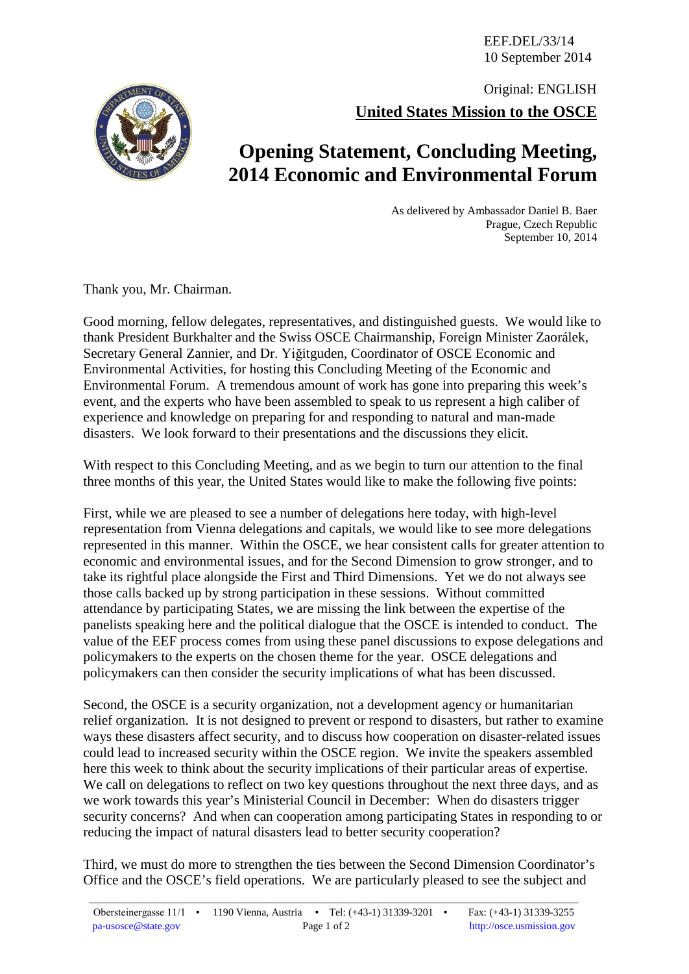EEF.DEL/33/14 10 September 2014

**United States Mission to the OSCE** Original: ENGLISH



As delivered by Ambassador Daniel B. Baer Prague, Czech Republic September 10, 2014

Thank you, Mr. Chairman.

Good morning, fellow delegates, representatives, and distinguished guests. We would like to thank President Burkhalter and the Swiss OSCE Chairmanship, Foreign Minister Zaorálek, Secretary General Zannier, and Dr. Yiğitguden, Coordinator of OSCE Economic and Environmental Activities, for hosting this Concluding Meeting of the Economic and Environmental Forum. A tremendous amount of work has gone into preparing this week's event, and the experts who have been assembled to speak to us represent a high caliber of experience and knowledge on preparing for and responding to natural and man-made disasters. We look forward to their presentations and the discussions they elicit.

With respect to this Concluding Meeting, and as we begin to turn our attention to the final three months of this year, the United States would like to make the following five points:

First, while we are pleased to see a number of delegations here today, with high-level representation from Vienna delegations and capitals, we would like to see more delegations represented in this manner. Within the OSCE, we hear consistent calls for greater attention to economic and environmental issues, and for the Second Dimension to grow stronger, and to take its rightful place alongside the First and Third Dimensions. Yet we do not always see those calls backed up by strong participation in these sessions. Without committed attendance by participating States, we are missing the link between the expertise of the panelists speaking here and the political dialogue that the OSCE is intended to conduct. The value of the EEF process comes from using these panel discussions to expose delegations and policymakers to the experts on the chosen theme for the year. OSCE delegations and policymakers can then consider the security implications of what has been discussed.

Second, the OSCE is a security organization, not a development agency or humanitarian relief organization. It is not designed to prevent or respond to disasters, but rather to examine ways these disasters affect security, and to discuss how cooperation on disaster-related issues could lead to increased security within the OSCE region. We invite the speakers assembled here this week to think about the security implications of their particular areas of expertise. We call on delegations to reflect on two key questions throughout the next three days, and as we work towards this year's Ministerial Council in December: When do disasters trigger security concerns? And when can cooperation among participating States in responding to or reducing the impact of natural disasters lead to better security cooperation?

Third, we must do more to strengthen the ties between the Second Dimension Coordinator's Office and the OSCE's field operations. We are particularly pleased to see the subject and